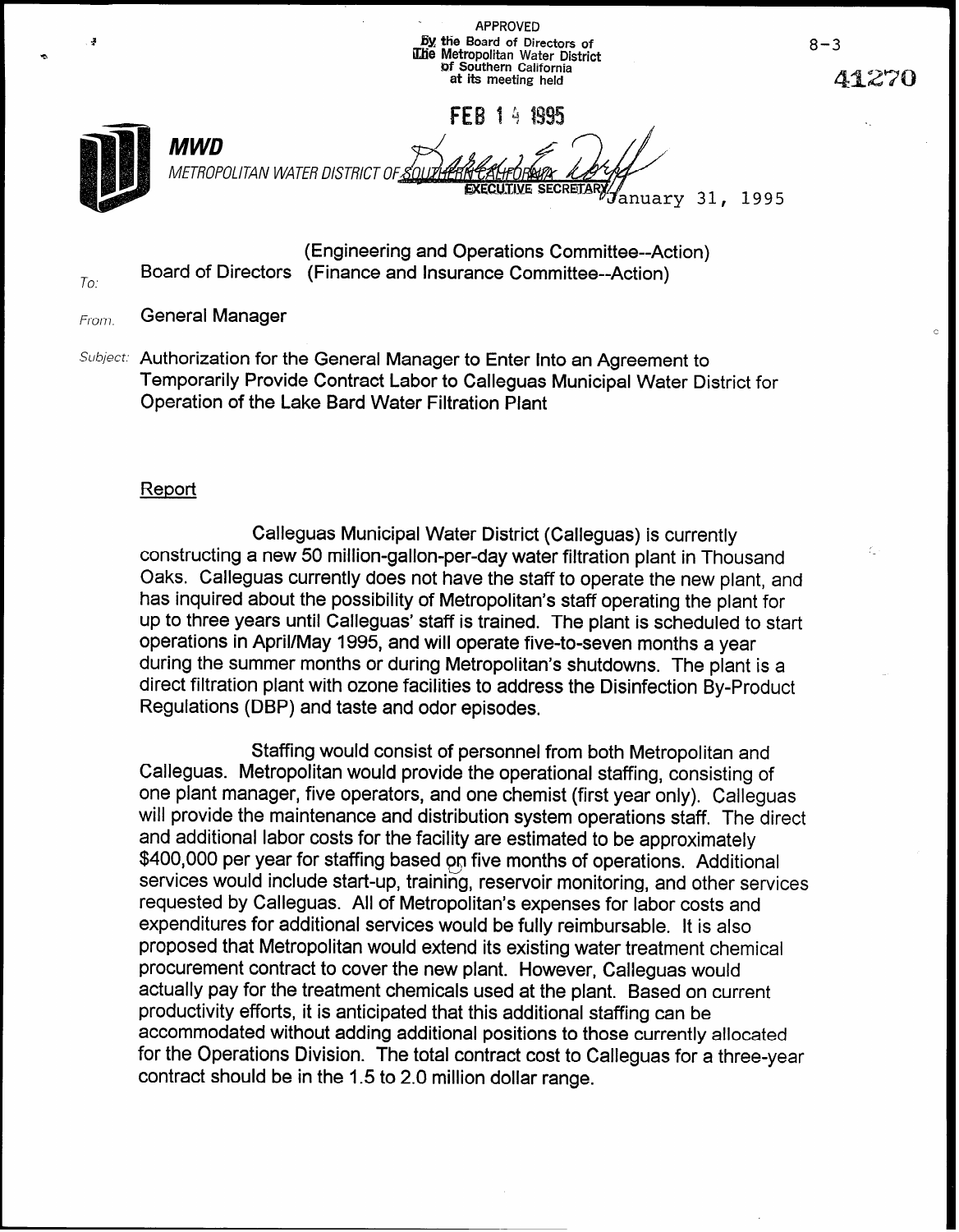| <b>APPROVED</b>                                                                                                  |
|------------------------------------------------------------------------------------------------------------------|
| By the Board of Directors of<br>The Metropolitan Water District<br>of Southern California<br>at its meeting held |

FFR 1 4 1995



 $To:$ 

MWD METROPOLITAN WATER DISTRICT 0 /

 $\mathcal J$ anuary 31, 1995

(Engineering and Operations Committee--Action) Board of Directors (Finance and Insurance Committee--Action)

 $F_{\text{rom}:}$  General Manager contract the contract of the contract of the contract of the contract of the contract of the contract of the contract of the contract of the contract of the contract of the contract of the cont

Subject: Authorization for the General Manager to Enter Into an Agreement to Temporarily Provide Contract Labor to Calleguas Municipal Water District for Operation of the Lake Bard Water Filtration Plant

## **Report**

Calleguas Municipal Water District (Calleguas) is currently constructing a new 50 million-gallon-per-day water filtration plant in Thousand Oaks. Calleguas currently does not have the staff to operate the new plant, and has inquired about the possibility of Metropolitan's staff operating the plant for up to three years until Calleguas' staff is trained. The plant is scheduled to start operations in April/May 1995, and will operate five-to-seven months a year during the summer months or during Metropolitan's shutdowns. The plant is a direct filtration plant with ozone facilities to address the Disinfection By-Product Regulations (DBP) and taste and odor episodes.

Staffing would consist of personnel from both Metropolitan and Calleguas. Metropolitan would provide the operational staffing, consisting of one plant manager, five operators, and one chemist (first year only). Calleguas will provide the maintenance and distribution system operations staff. The direct and additional labor costs for the facility are estimated to be approximately \$400,000 per year for staffing based on five months of operations. Additional services would include start-up, training, reservoir monitoring, and other services requested by Calleguas. All of Metropolitan's expenses for labor costs and expenditures for additional services would be fully reimbursable. It is also proposed that Metropolitan would extend its existing water treatment chemical procurement contract to cover the new plant. However, Calleguas would actually pay for the treatment chemicals used at the plant. Based on current productivity efforts, it is anticipated that this additional staffing can be accommodated without adding additional positions to those currently allocated for the Operations Division. The total contract cost to Calleguas for a three-year contract should be in the 1.5 to 2.0 million dollar range.

~lZ70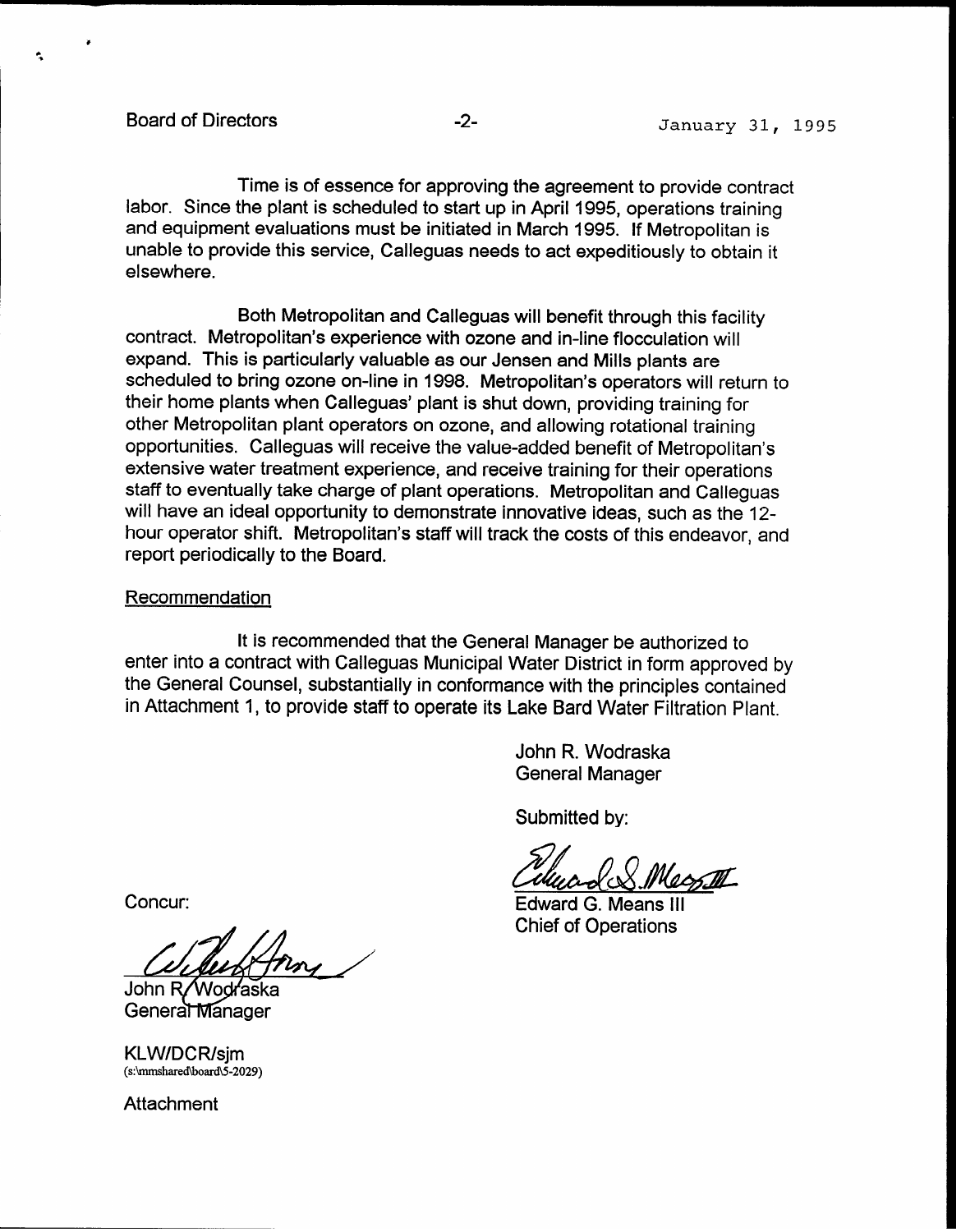Board of Directors **-2- -2-** January 31, 1995

Time is of essence for approving the agreement to provide contract labor. Since the plant is scheduled to start up in April 1995, operations training and equipment evaluations must be initiated in March 1995. If Metropolitan is unable to provide this service, Calleguas needs to act expeditiously to obtain it elsewhere.

Both Metropolitan and Calleguas will benefit through this facility contract. Metropolitan's experience with ozone and in-line flocculation will expand. This is particularly valuable as our Jensen and Mills plants are scheduled to bring ozone on-line in 1998. Metropolitan's operators will return to their home plants when Calleguas' plant is shut down, providing training for other Metropolitan plant operators on ozone, and allowing rotational training opportunities. Calleguas will receive the value-added benefit of Metropolitan's extensive water treatment experience, and receive training for their operations staff to eventually take charge of plant operations. Metropolitan and Calleguas will have an ideal opportunity to demonstrate innovative ideas, such as the 12 hour operator shift. Metropolitan's staff will track the costs of this endeavor, and report periodically to the Board.

### Recommendation

It is recommended that the General Manager be authorized to enter into a contract with Calleguas Municipal Water District in form approved by the General Counsel, substantially in conformance with the principles contained in Attachment 1, to provide staff to operate its Lake Bard Water Filtration Plant.

> John R. Wodraska General Manager

Submitted by:

Edward G. Means III Chief of Operations

Concur:

John R/Wodraska Genera<del>l</del> Manager

KLW/DCR/sjm (s:\mmshared\board\5-2029)

**Attachment**